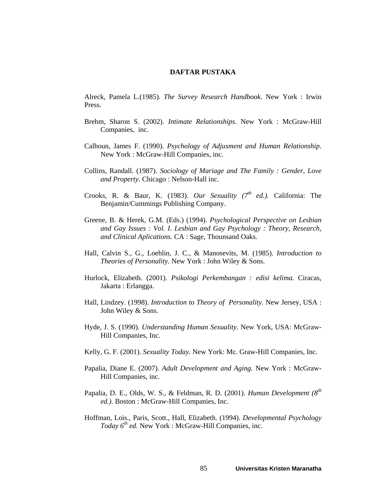## **DAFTAR PUSTAKA**

Alreck, Pamela L.(1985). *The Survey Research Handbook*. New York : Irwin Press.

- Brehm, Sharon S. (2002). *Intimate Relationships*. New York : McGraw-Hill Companies, inc.
- Calhoun, James F. (1990). *Psychology of Adjusment and Human Relationship*. New York : McGraw-Hill Companies, inc.
- Collins, Randall. (1987). *Sociology of Mariage and The Family : Gender, Love and Property.* Chicago : Nelson-Hall inc.
- Crooks, R. & Baur, K. (1983). *Our Sexuality (7<sup>th</sup> ed.*). California: The Benjamin/Cummings Publishing Company.
- Greene, B. & Herek, G.M. (Eds.) (1994). *Psychological Perspective on Lesbian and Gay Issues : Vol. I. Lesbian and Gay Psychology : Theory, Research, and Clinical Aplications.* CA : Sage, Thounsand Oaks.
- Hall, Calvin S., G., Loehlin, J. C., & Manosevits, M. (1985). *Introduction to Theories of Personality.* New York : John Wiley & Sons.
- Hurlock, Elizabeth. (2001). *Psikologi Perkembangan : edisi kelima.* Ciracas, Jakarta : Erlangga.
- Hall, Lindzey. (1998). *Introduction to Theory of Personality.* New Jersey, USA : John Wiley & Sons.
- Hyde, J. S. (1990). *Understanding Human Sexuality.* New York, USA: McGraw-Hill Companies, Inc.
- Kelly, G. F. (2001). *Sexuality Today.* New York: Mc. Graw-Hill Companies, Inc.
- Papalia, Diane E. (2007). *Adult Development and Aging.* New York : McGraw-Hill Companies, inc.
- Papalia, D. E., Olds, W. S., & Feldman, R. D. (2001). *Human Development (8th ed.).* Boston : McGraw-Hill Companies, Inc.
- Hoffman, Lois., Paris, Scott., Hall, Elizabeth. (1994). *Developmental Psychology Today*  $6^{th}$  *ed.* New York : McGraw-Hill Companies, inc.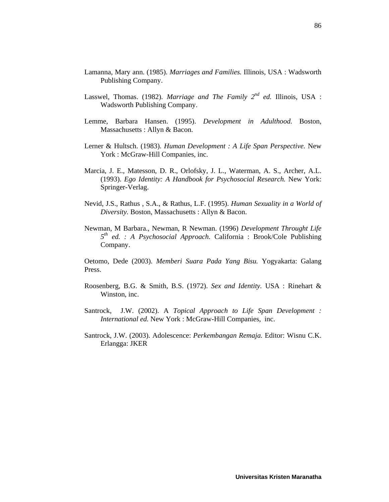- Lamanna, Mary ann. (1985). *Marriages and Families.* Illinois, USA : Wadsworth Publishing Company.
- Lasswel, Thomas. (1982). *Marriage and The Family 2nd ed.* Illinois, USA : Wadsworth Publishing Company.
- Lemme, Barbara Hansen. (1995). *Development in Adulthood.* Boston, Massachusetts : Allyn & Bacon.
- Lerner & Hultsch. (1983). *Human Development : A Life Span Perspective.* New York : McGraw-Hill Companies, inc.
- Marcia, J. E., Matesson, D. R., Orlofsky, J. L., Waterman, A. S., Archer, A.L. (1993). *Ego Identity: A Handbook for Psychosocial Research.* New York: Springer-Verlag.
- Nevid, J.S., Rathus , S.A., & Rathus, L.F. (1995). *Human Sexuality in a World of Diversity.* Boston, Massachusetts : Allyn & Bacon.
- Newman, M Barbara., Newman, R Newman. (1996) *Development Throught Life 5th ed. : A Psychosocial Approach.* California : Brook/Cole Publishing Company.

Oetomo, Dede (2003). *Memberi Suara Pada Yang Bisu.* Yogyakarta: Galang Press.

- Roosenberg, B.G. & Smith, B.S. (1972). *Sex and Identity.* USA : Rinehart & Winston, inc.
- Santrock, J.W. (2002). A *Topical Approach to Life Span Development : International ed.* New York : McGraw-Hill Companies, inc.
- Santrock, J.W. (2003). Adolescence: *Perkembangan Remaja.* Editor: Wisnu C.K. Erlangga: JKER